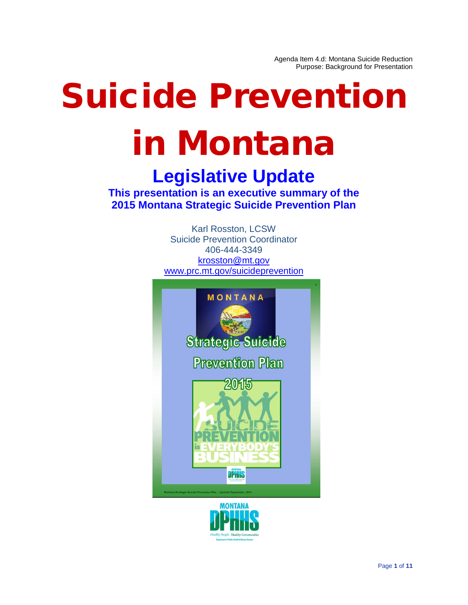Agenda Item 4.d: Montana Suicide Reduction Purpose: Background for Presentation

# Suicide Prevention in Montana

# **Legislative Update**

**This presentation is an executive summary of the 2015 Montana Strategic Suicide Prevention Plan**

> Karl Rosston, LCSW Suicide Prevention Coordinator 406-444-3349 [krosston@mt.gov](mailto:krosston@mt.gov) [www.prc.mt.gov/suicideprevention](http://www.prc.mt.gov/suicideprevention)



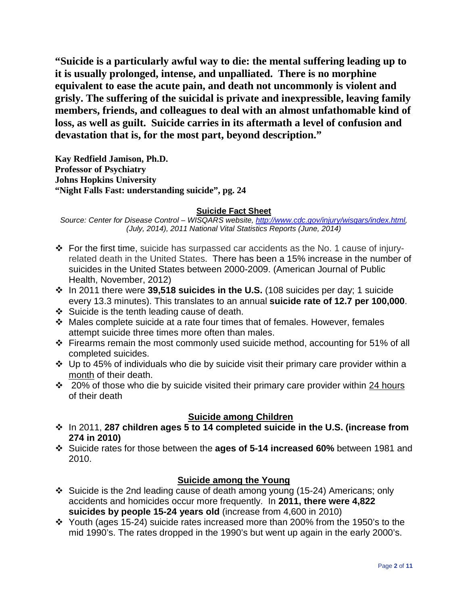**"Suicide is a particularly awful way to die: the mental suffering leading up to it is usually prolonged, intense, and unpalliated. There is no morphine equivalent to ease the acute pain, and death not uncommonly is violent and grisly. The suffering of the suicidal is private and inexpressible, leaving family members, friends, and colleagues to deal with an almost unfathomable kind of loss, as well as guilt. Suicide carries in its aftermath a level of confusion and devastation that is, for the most part, beyond description."**

**Kay Redfield Jamison, Ph.D. Professor of Psychiatry Johns Hopkins University "Night Falls Fast: understanding suicide", pg. 24**

#### **Suicide Fact Sheet**

*Source: Center for Disease Control – WISQARS website, [http://www.cdc.gov/injury/wisqars/index.html,](http://www.cdc.gov/injury/wisqars/index.html) (July, 2014), 2011 National Vital Statistics Reports (June, 2014)*

- $\div$  For the first time, suicide has surpassed car accidents as the No. 1 cause of injuryrelated death in the United States. There has been a 15% increase in the number of suicides in the United States between 2000-2009. (American Journal of Public Health, November, 2012)
- In 2011 there were **39,518 suicides in the U.S.** (108 suicides per day; 1 suicide every 13.3 minutes). This translates to an annual **suicide rate of 12.7 per 100,000**.
- Suicide is the tenth leading cause of death.
- Males complete suicide at a rate four times that of females. However, females attempt suicide three times more often than males.
- Firearms remain the most commonly used suicide method, accounting for 51% of all completed suicides.
- $\cdot$  Up to 45% of individuals who die by suicide visit their primary care provider within a month of their death.
- $\cdot$  20% of those who die by suicide visited their primary care provider within 24 hours of their death

#### **Suicide among Children**

- In 2011, **287 children ages 5 to 14 completed suicide in the U.S. (increase from 274 in 2010)**
- Suicide rates for those between the **ages of 5-14 increased 60%** between 1981 and 2010.

#### **Suicide among the Young**

- $\div$  Suicide is the 2nd leading cause of death among young (15-24) Americans; only accidents and homicides occur more frequently. In **2011, there were 4,822 suicides by people 15-24 years old** (increase from 4,600 in 2010)
- \* Youth (ages 15-24) suicide rates increased more than 200% from the 1950's to the mid 1990's. The rates dropped in the 1990's but went up again in the early 2000's.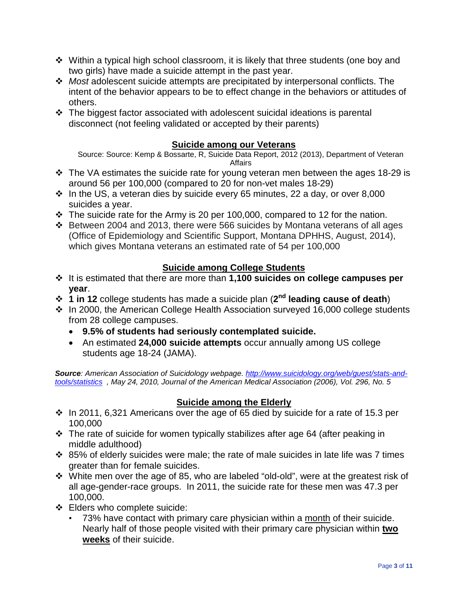- Within a typical high school classroom, it is likely that three students (one boy and two girls) have made a suicide attempt in the past year.
- *Most* adolescent suicide attempts are precipitated by interpersonal conflicts. The intent of the behavior appears to be to effect change in the behaviors or attitudes of others.
- The biggest factor associated with adolescent suicidal ideations is parental disconnect (not feeling validated or accepted by their parents)

#### **Suicide among our Veterans**

Source: Source: Kemp & Bossarte, R, Suicide Data Report, 2012 (2013), Department of Veteran Affairs

- $\div$  The VA estimates the suicide rate for young veteran men between the ages 18-29 is around 56 per 100,000 (compared to 20 for non-vet males 18-29)
- $\cdot$  In the US, a veteran dies by suicide every 65 minutes, 22 a day, or over 8,000 suicides a year.
- $\cdot \cdot$  The suicide rate for the Army is 20 per 100,000, compared to 12 for the nation.
- Between 2004 and 2013, there were 566 suicides by Montana veterans of all ages (Office of Epidemiology and Scientific Support, Montana DPHHS, August, 2014), which gives Montana veterans an estimated rate of 54 per 100,000

#### **Suicide among College Students**

- It is estimated that there are more than **1,100 suicides on college campuses per year**.
- **1 in 12** college students has made a suicide plan (**2nd leading cause of death**)
- In 2000, the American College Health Association surveyed 16,000 college students from 28 college campuses.
	- **9.5% of students had seriously contemplated suicide.**
	- An estimated **24,000 suicide attempts** occur annually among US college students age 18-24 (JAMA).

*Source: American Association of Suicidology webpage. [http://www.suicidology.org/web/guest/stats-and](http://www.suicidology.org/web/guest/stats-and-tools/statistics)[tools/statistics](http://www.suicidology.org/web/guest/stats-and-tools/statistics) , May 24, 2010, Journal of the American Medical Association (2006), Vol. 296, No. 5*

#### **Suicide among the Elderly**

- $\cdot$  In 2011, 6,321 Americans over the age of 65 died by suicide for a rate of 15.3 per 100,000
- $\div$  The rate of suicide for women typically stabilizes after age 64 (after peaking in middle adulthood)
- $\cdot$  85% of elderly suicides were male; the rate of male suicides in late life was 7 times greater than for female suicides.
- White men over the age of 85, who are labeled "old-old", were at the greatest risk of all age-gender-race groups. In 2011, the suicide rate for these men was 47.3 per 100,000.
- Elders who complete suicide:
	- 73% have contact with primary care physician within a month of their suicide. Nearly half of those people visited with their primary care physician within **two weeks** of their suicide.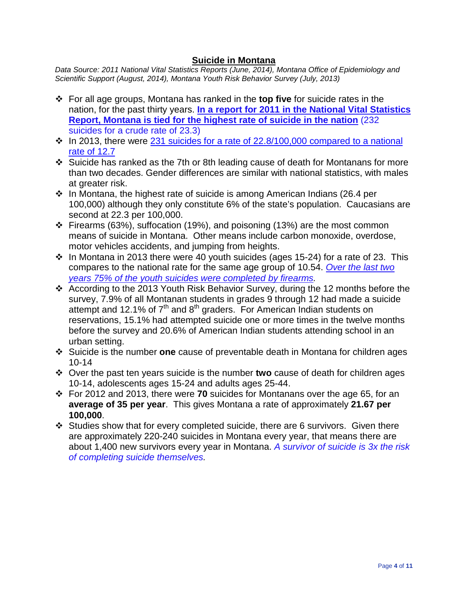#### **Suicide in Montana**

*Data Source: 2011 National Vital Statistics Reports (June, 2014), Montana Office of Epidemiology and Scientific Support (August, 2014), Montana Youth Risk Behavior Survey (July, 2013)*

- For all age groups, Montana has ranked in the **top five** for suicide rates in the nation, for the past thirty years. **In a report for 2011 in the National Vital Statistics Report, Montana is tied for the highest rate of suicide in the nation** (232 suicides for a crude rate of 23.3)
- $\cdot$  In 2013, there were 231 suicides for a rate of 22.8/100,000 compared to a national rate of 12.7
- Suicide has ranked as the 7th or 8th leading cause of death for Montanans for more than two decades. Gender differences are similar with national statistics, with males at greater risk.
- $\cdot$  In Montana, the highest rate of suicide is among American Indians (26.4 per 100,000) although they only constitute 6% of the state's population. Caucasians are second at 22.3 per 100,000.
- $\div$  Firearms (63%), suffocation (19%), and poisoning (13%) are the most common means of suicide in Montana. Other means include carbon monoxide, overdose, motor vehicles accidents, and jumping from heights.
- $\cdot$  In Montana in 2013 there were 40 youth suicides (ages 15-24) for a rate of 23. This compares to the national rate for the same age group of 10.54. *Over the last two years 75% of the youth suicides were completed by firearms.*
- According to the 2013 Youth Risk Behavior Survey, during the 12 months before the survey, 7.9% of all Montanan students in grades 9 through 12 had made a suicide attempt and 12.1% of  $7<sup>th</sup>$  and  $8<sup>th</sup>$  graders. For American Indian students on reservations, 15.1% had attempted suicide one or more times in the twelve months before the survey and 20.6% of American Indian students attending school in an urban setting.
- Suicide is the number **one** cause of preventable death in Montana for children ages 10-14
- Over the past ten years suicide is the number **two** cause of death for children ages 10-14, adolescents ages 15-24 and adults ages 25-44.
- For 2012 and 2013, there were **70** suicides for Montanans over the age 65, for an **average of 35 per year**. This gives Montana a rate of approximately **21.67 per 100,000**.
- $\div$  Studies show that for every completed suicide, there are 6 survivors. Given there are approximately 220-240 suicides in Montana every year, that means there are about 1,400 new survivors every year in Montana. *A survivor of suicide is 3x the risk of completing suicide themselves.*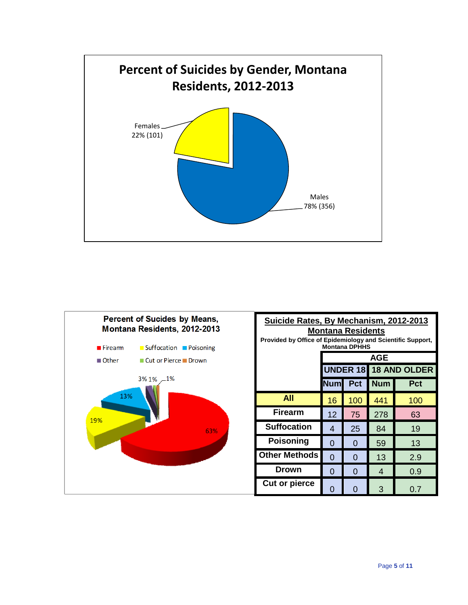

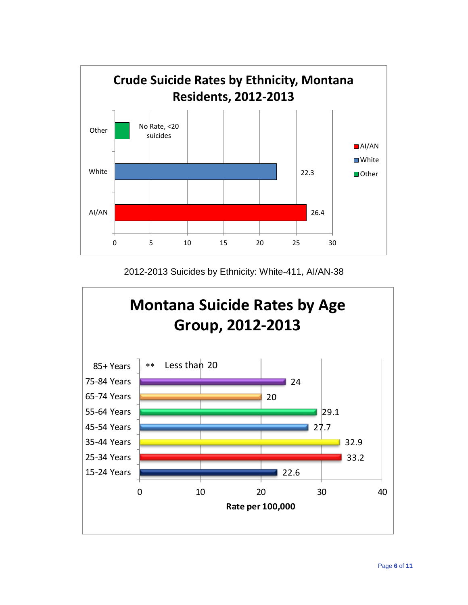

2012-2013 Suicides by Ethnicity: White-411, AI/AN-38

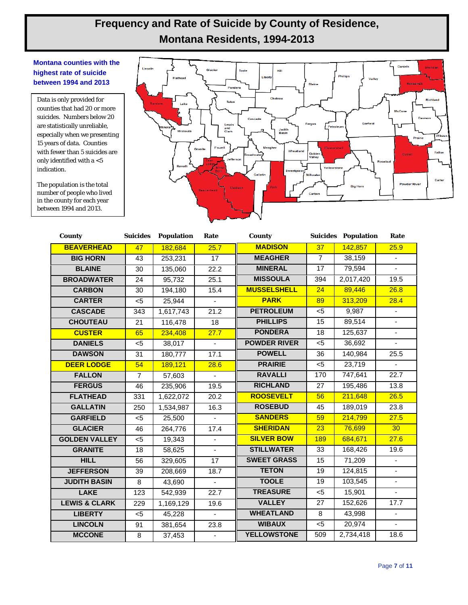### **Frequency and Rate of Suicide by County of Residence, Montana Residents, 1994-2013**

#### **Montana counties with the highest rate of suicide between 1994 and 2013**

Data is only provided for counties that had 20 or more suicides. Numbers below 20 are statistically unreliable, especially when we presenting 15 years of data. Counties with fewer than 5 suicides are only identified with a  $<$   $5$ indication.

The population is the total number of people who lived in the county for each year between 1994 and 2013.



| County                   | <b>Suicides</b> | <b>Population</b> | Rate                     | County              |                 | <b>Suicides Population</b> | Rate              |
|--------------------------|-----------------|-------------------|--------------------------|---------------------|-----------------|----------------------------|-------------------|
| <b>BEAVERHEAD</b>        | 47              | 182,684           | 25.7                     | <b>MADISON</b>      | 37              | 142,857                    | 25.9              |
| <b>BIG HORN</b>          | 43              | 253,231           | $\overline{17}$          | <b>MEAGHER</b>      | $\overline{7}$  | 38,159                     | $\blacksquare$    |
| <b>BLAINE</b>            | 30              | 135,060           | 22.2                     | <b>MINERAL</b>      | 17              | 79,594                     |                   |
| <b>BROADWATER</b>        | $\overline{24}$ | 95,732            | 25.1                     | <b>MISSOULA</b>     | 394             | 2,017,420                  | 19.5              |
| <b>CARBON</b>            | 30              | 194,180           | 15.4                     | <b>MUSSELSHELL</b>  | 24              | 89,446                     | 26.8              |
| <b>CARTER</b>            | $<$ 5           | 25,944            | ÷.                       | <b>PARK</b>         | 89              | 313,209                    | 28.4              |
| <b>CASCADE</b>           | 343             | 1,617,743         | 21.2                     | <b>PETROLEUM</b>    | $5$             | 9,987                      | $\blacksquare$    |
| <b>CHOUTEAU</b>          | 21              | 116,478           | $\overline{18}$          | <b>PHILLIPS</b>     | $\overline{15}$ | 89,514                     | ÷.                |
| <b>CUSTER</b>            | 65              | 234,408           | 27.7                     | <b>PONDERA</b>      | 18              | 125,637                    | ÷.                |
| <b>DANIELS</b>           | $5$             | 38,017            |                          | <b>POWDER RIVER</b> | $5$             | 36,692                     |                   |
| <b>DAWSON</b>            | 31              | 180,777           | 17.1                     | <b>POWELL</b>       | 36              | 140,984                    | 25.5              |
| <b>DEER LODGE</b>        | 54              | 189,121           | 28.6                     | <b>PRAIRIE</b>      | $<$ 5           | 23,719                     |                   |
| <b>FALLON</b>            | $\overline{7}$  | 57,603            | $\blacksquare$           | <b>RAVALLI</b>      | 170             | 747,641                    | $\overline{22.7}$ |
| <b>FERGUS</b>            | 46              | 235,906           | 19.5                     | <b>RICHLAND</b>     | 27              | 195,486                    | 13.8              |
| <b>FLATHEAD</b>          | 331             | 1,622,072         | 20.2                     | <b>ROOSEVELT</b>    | 56              | 211,648                    | 26.5              |
| <b>GALLATIN</b>          | 250             | 1,534,987         | 16.3                     | <b>ROSEBUD</b>      | 45              | 189,019                    | 23.8              |
| <b>GARFIELD</b>          | $5$             | 25,500            |                          | <b>SANDERS</b>      | 59              | 214,799                    | 27.5              |
| <b>GLACIER</b>           | 46              | 264,776           | 17.4                     | <b>SHERIDAN</b>     | 23              | 76,699                     | 30 <sub>o</sub>   |
| <b>GOLDEN VALLEY</b>     | $5$             | 19,343            |                          | <b>SILVER BOW</b>   | 189             | 684,671                    | 27.6              |
| <b>GRANITE</b>           | 18              | 58,625            | $\overline{a}$           | <b>STILLWATER</b>   | 33              | 168,426                    | 19.6              |
| <b>HILL</b>              | 56              | 329,605           | 17                       | <b>SWEET GRASS</b>  | 15              | 71,209                     |                   |
| <b>JEFFERSON</b>         | 39              | 208,669           | 18.7                     | <b>TETON</b>        | 19              | 124,815                    | $\blacksquare$    |
| <b>JUDITH BASIN</b>      | 8               | 43,690            | $\blacksquare$           | <b>TOOLE</b>        | 19              | 103,545                    | $\blacksquare$    |
| <b>LAKE</b>              | 123             | 542,939           | 22.7                     | <b>TREASURE</b>     | $\overline{5}$  | 15,901                     | ä,                |
| <b>LEWIS &amp; CLARK</b> | 229             | 1,169,129         | 19.6                     | <b>VALLEY</b>       | 27              | 152,626                    | 17.7              |
| <b>LIBERTY</b>           | $<$ 5           | 45,228            |                          | <b>WHEATLAND</b>    | $\overline{8}$  | 43,998                     | $\blacksquare$    |
| <b>LINCOLN</b>           | 91              | 381,654           | 23.8                     | <b>WIBAUX</b>       | $5$             | 20,974                     | $\blacksquare$    |
| <b>MCCONE</b>            | $\overline{8}$  | 37,453            | $\overline{\phantom{a}}$ | <b>YELLOWSTONE</b>  | 509             | 2,734,418                  | 18.6              |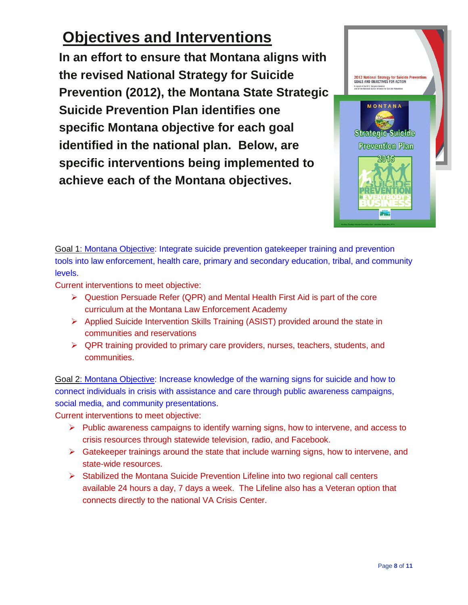## **Objectives and Interventions**

**In an effort to ensure that Montana aligns with the revised National Strategy for Suicide Prevention (2012), the Montana State Strategic Suicide Prevention Plan identifies one specific Montana objective for each goal identified in the national plan. Below, are specific interventions being implemented to achieve each of the Montana objectives.**



Goal 1: Montana Objective: Integrate suicide prevention gatekeeper training and prevention tools into law enforcement, health care, primary and secondary education, tribal, and community levels.

Current interventions to meet objective:

- $\triangleright$  Question Persuade Refer (QPR) and Mental Health First Aid is part of the core curriculum at the Montana Law Enforcement Academy
- Applied Suicide Intervention Skills Training (ASIST) provided around the state in communities and reservations
- $\triangleright$  QPR training provided to primary care providers, nurses, teachers, students, and communities.

Goal 2: Montana Objective: Increase knowledge of the warning signs for suicide and how to connect individuals in crisis with assistance and care through public awareness campaigns, social media, and community presentations.

Current interventions to meet objective:

- $\triangleright$  Public awareness campaigns to identify warning signs, how to intervene, and access to crisis resources through statewide television, radio, and Facebook.
- $\triangleright$  Gatekeeper trainings around the state that include warning signs, how to intervene, and state-wide resources.
- $\triangleright$  Stabilized the Montana Suicide Prevention Lifeline into two regional call centers available 24 hours a day, 7 days a week. The Lifeline also has a Veteran option that connects directly to the national VA Crisis Center.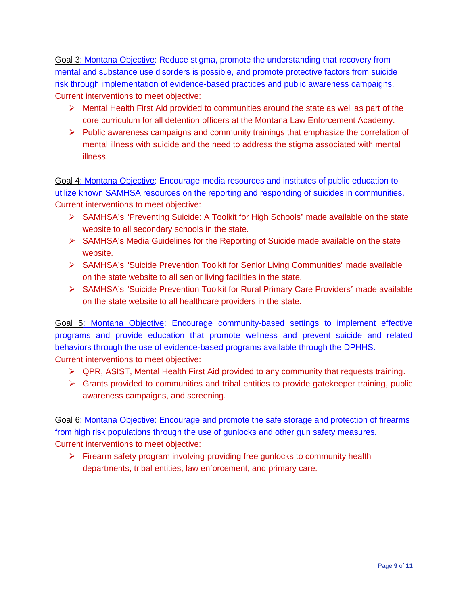Goal 3: Montana Objective: Reduce stigma, promote the understanding that recovery from mental and substance use disorders is possible, and promote protective factors from suicide risk through implementation of evidence-based practices and public awareness campaigns. Current interventions to meet objective:

- $\triangleright$  Mental Health First Aid provided to communities around the state as well as part of the core curriculum for all detention officers at the Montana Law Enforcement Academy.
- $\triangleright$  Public awareness campaigns and community trainings that emphasize the correlation of mental illness with suicide and the need to address the stigma associated with mental illness.

Goal 4: Montana Objective: Encourage media resources and institutes of public education to utilize known SAMHSA resources on the reporting and responding of suicides in communities. Current interventions to meet objective:

- ▶ SAMHSA's "Preventing Suicide: A Toolkit for High Schools" made available on the state website to all secondary schools in the state.
- $\triangleright$  SAMHSA's Media Guidelines for the Reporting of Suicide made available on the state website.
- SAMHSA's "Suicide Prevention Toolkit for Senior Living Communities" made available on the state website to all senior living facilities in the state.
- SAMHSA's "Suicide Prevention Toolkit for Rural Primary Care Providers" made available on the state website to all healthcare providers in the state.

Goal 5: Montana Objective: Encourage community-based settings to implement effective programs and provide education that promote wellness and prevent suicide and related behaviors through the use of evidence-based programs available through the DPHHS. Current interventions to meet objective:

- $\triangleright$  QPR, ASIST, Mental Health First Aid provided to any community that requests training.
- $\triangleright$  Grants provided to communities and tribal entities to provide gatekeeper training, public awareness campaigns, and screening.

Goal 6: Montana Objective: Encourage and promote the safe storage and protection of firearms from high risk populations through the use of gunlocks and other gun safety measures. Current interventions to meet objective:

 $\triangleright$  Firearm safety program involving providing free gunlocks to community health departments, tribal entities, law enforcement, and primary care.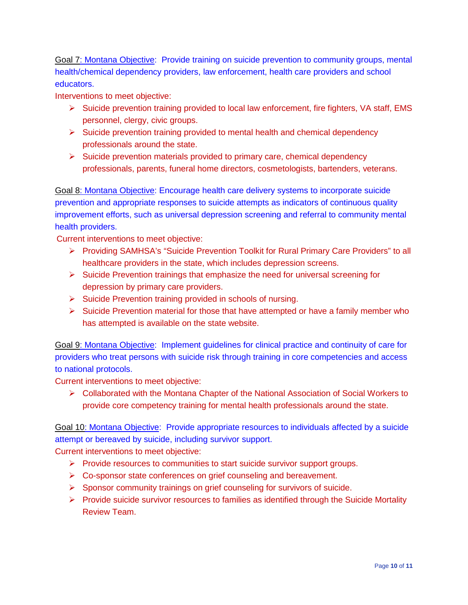Goal 7: Montana Objective: Provide training on suicide prevention to community groups, mental health/chemical dependency providers, law enforcement, health care providers and school educators.

Interventions to meet objective:

- $\triangleright$  Suicide prevention training provided to local law enforcement, fire fighters, VA staff, EMS personnel, clergy, civic groups.
- $\triangleright$  Suicide prevention training provided to mental health and chemical dependency professionals around the state.
- $\triangleright$  Suicide prevention materials provided to primary care, chemical dependency professionals, parents, funeral home directors, cosmetologists, bartenders, veterans.

Goal 8: Montana Objective: Encourage health care delivery systems to incorporate suicide prevention and appropriate responses to suicide attempts as indicators of continuous quality improvement efforts, such as universal depression screening and referral to community mental health providers.

Current interventions to meet objective:

- Providing SAMHSA's "Suicide Prevention Toolkit for Rural Primary Care Providers" to all healthcare providers in the state, which includes depression screens.
- $\triangleright$  Suicide Prevention trainings that emphasize the need for universal screening for depression by primary care providers.
- $\triangleright$  Suicide Prevention training provided in schools of nursing.
- $\triangleright$  Suicide Prevention material for those that have attempted or have a family member who has attempted is available on the state website.

Goal 9: Montana Objective: Implement guidelines for clinical practice and continuity of care for providers who treat persons with suicide risk through training in core competencies and access to national protocols.

Current interventions to meet objective:

 $\triangleright$  Collaborated with the Montana Chapter of the National Association of Social Workers to provide core competency training for mental health professionals around the state.

Goal 10: Montana Objective: Provide appropriate resources to individuals affected by a suicide attempt or bereaved by suicide, including survivor support.

Current interventions to meet objective:

- $\triangleright$  Provide resources to communities to start suicide survivor support groups.
- ▶ Co-sponsor state conferences on grief counseling and bereavement.
- $\triangleright$  Sponsor community trainings on grief counseling for survivors of suicide.
- $\triangleright$  Provide suicide survivor resources to families as identified through the Suicide Mortality Review Team.